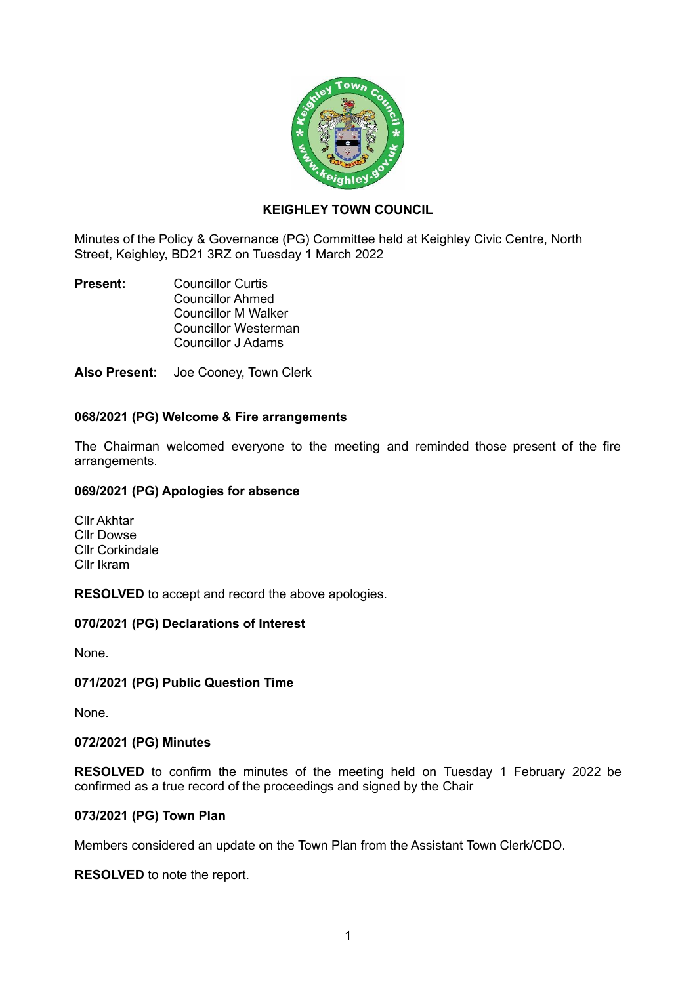

# **KEIGHLEY TOWN COUNCIL**

Minutes of the Policy & Governance (PG) Committee held at Keighley Civic Centre, North Street, Keighley, BD21 3RZ on Tuesday 1 March 2022

**Present:** Councillor Curtis Councillor Ahmed Councillor M Walker Councillor Westerman Councillor J Adams

**Also Present:** Joe Cooney, Town Clerk

# **068/2021 (PG) Welcome & Fire arrangements**

The Chairman welcomed everyone to the meeting and reminded those present of the fire arrangements.

### **069/2021 (PG) Apologies for absence**

Cllr Akhtar Cllr Dowse Cllr Corkindale Cllr Ikram

**RESOLVED** to accept and record the above apologies.

# **070/2021 (PG) Declarations of Interest**

None.

# **071/2021 (PG) Public Question Time**

None.

#### **072/2021 (PG) Minutes**

**RESOLVED** to confirm the minutes of the meeting held on Tuesday 1 February 2022 be confirmed as a true record of the proceedings and signed by the Chair

### **073/2021 (PG) Town Plan**

Members considered an update on the Town Plan from the Assistant Town Clerk/CDO.

**RESOLVED** to note the report.